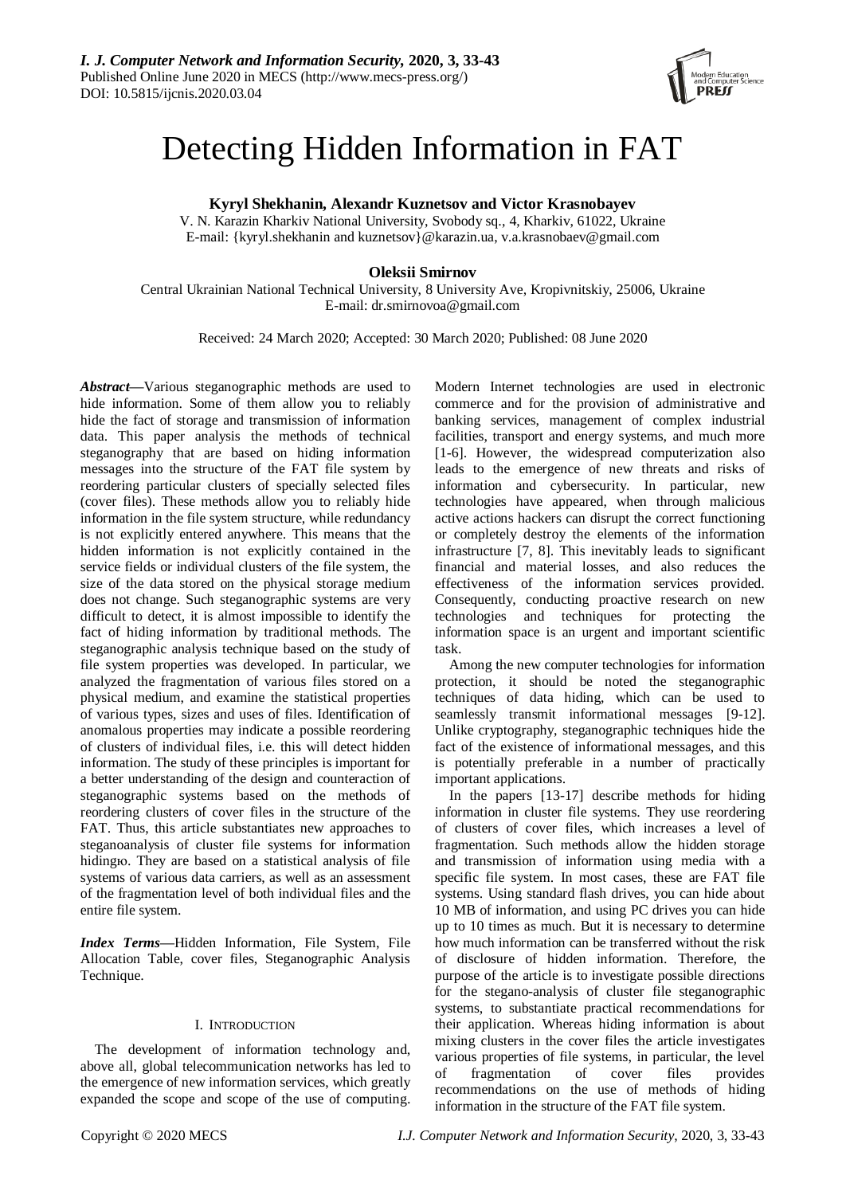

# Detecting Hidden Information in FAT

**Kyryl Shekhanin, Alexandr Kuznetsov and Victor Krasnobayev**

V. N. Karazin Kharkiv National University, Svobody sq., 4, Kharkiv, 61022, Ukraine E-mail: {kyryl.shekhanin and kuznetsov}@karazin.ua, v.a.krasnobaev@gmail.com

# **Oleksii Smirnov**

Central Ukrainian National Technical University, 8 University Ave, Kropivnitskiy, 25006, Ukraine E-mail[: dr.smirnovoa@gmail.com](mailto:dr.smirnovoa@gmail.com)

Received: 24 March 2020; Accepted: 30 March 2020; Published: 08 June 2020

*Abstract***—**Various steganographic methods are used to hide information. Some of them allow you to reliably hide the fact of storage and transmission of information data. This paper analysis the methods of technical steganography that are based on hiding information messages into the structure of the FAT file system by reordering particular clusters of specially selected files (cover files). These methods allow you to reliably hide information in the file system structure, while redundancy is not explicitly entered anywhere. This means that the hidden information is not explicitly contained in the service fields or individual clusters of the file system, the size of the data stored on the physical storage medium does not change. Such steganographic systems are very difficult to detect, it is almost impossible to identify the fact of hiding information by traditional methods. The steganographic analysis technique based on the study of file system properties was developed. In particular, we analyzed the fragmentation of various files stored on a physical medium, and examine the statistical properties of various types, sizes and uses of files. Identification of anomalous properties may indicate a possible reordering of clusters of individual files, i.e. this will detect hidden information. The study of these principles is important for a better understanding of the design and counteraction of steganographic systems based on the methods of reordering clusters of cover files in the structure of the FAT. Thus, this article substantiates new approaches to steganoanalysis of cluster file systems for information hidingю. They are based on a statistical analysis of file systems of various data carriers, as well as an assessment of the fragmentation level of both individual files and the entire file system.

*Index Terms***—**Hidden Information, File System, File Allocation Table, cover files, Steganographic Analysis Technique.

# I. INTRODUCTION

The development of information technology and, above all, global telecommunication networks has led to the emergence of new information services, which greatly expanded the scope and scope of the use of computing.

Modern Internet technologies are used in electronic commerce and for the provision of administrative and banking services, management of complex industrial facilities, transport and energy systems, and much more [1-6]. However, the widespread computerization also leads to the emergence of new threats and risks of information and cybersecurity. In particular, new technologies have appeared, when through malicious active actions hackers can disrupt the correct functioning or completely destroy the elements of the information infrastructure [7, 8]. This inevitably leads to significant financial and material losses, and also reduces the effectiveness of the information services provided. Consequently, conducting proactive research on new technologies and techniques for protecting the information space is an urgent and important scientific task.

Among the new computer technologies for information protection, it should be noted the steganographic techniques of data hiding, which can be used to seamlessly transmit informational messages [9-12]. Unlike cryptography, steganographic techniques hide the fact of the existence of informational messages, and this is potentially preferable in a number of practically important applications.

In the papers [13-17] describe methods for hiding information in cluster file systems. They use reordering of clusters of cover files, which increases a level of fragmentation. Such methods allow the hidden storage and transmission of information using media with a specific file system. In most cases, these are FAT file systems. Using standard flash drives, you can hide about 10 MB of information, and using PC drives you can hide up to 10 times as much. But it is necessary to determine how much information can be transferred without the risk of disclosure of hidden information. Therefore, the purpose of the article is to investigate possible directions for the stegano-analysis of cluster file steganographic systems, to substantiate practical recommendations for their application. Whereas hiding information is about mixing clusters in the cover files the article investigates various properties of file systems, in particular, the level of fragmentation of cover files provides recommendations on the use of methods of hiding information in the structure of the FAT file system.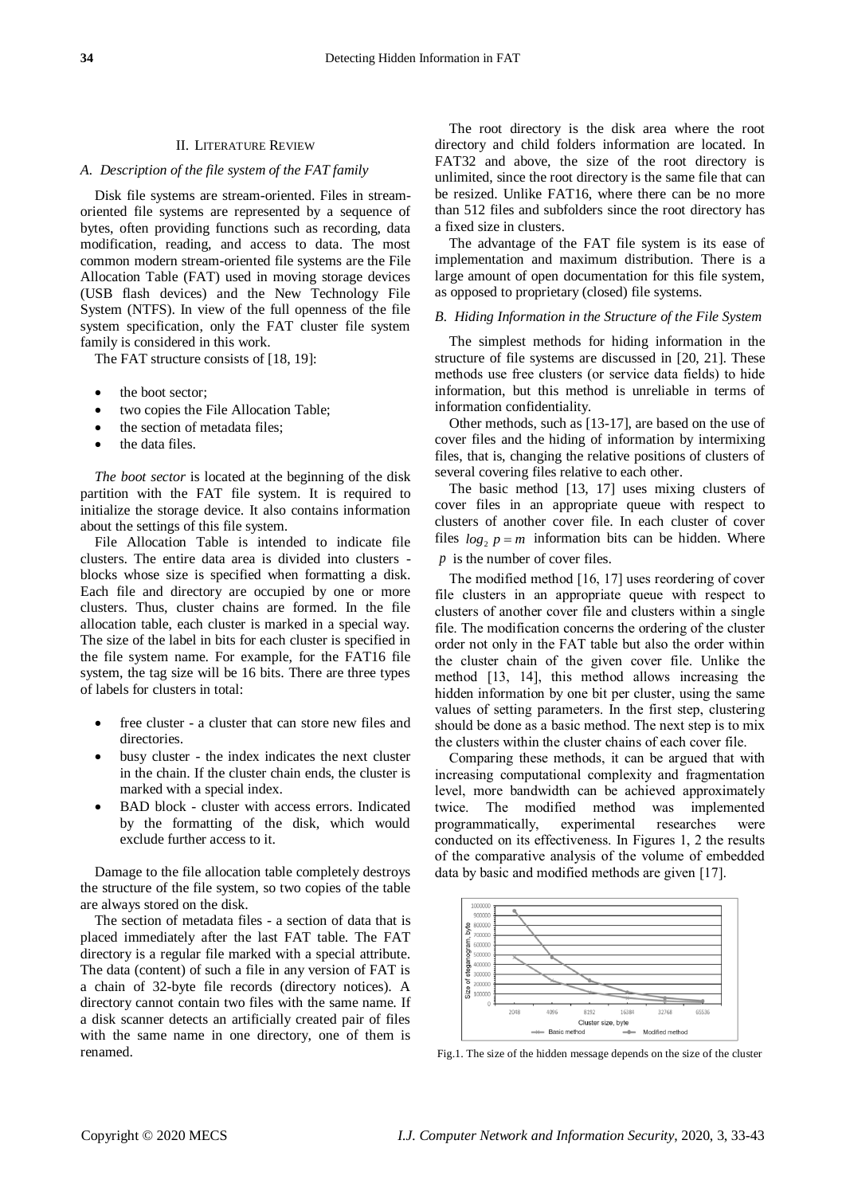#### II. LITERATURE REVIEW

#### *A. Description of the file system of the FAT family*

Disk file systems are stream-oriented. Files in streamoriented file systems are represented by a sequence of bytes, often providing functions such as recording, data modification, reading, and access to data. The most common modern stream-oriented file systems are the File Allocation Table (FAT) used in moving storage devices (USB flash devices) and the New Technology File System (NTFS). In view of the full openness of the file system specification, only the FAT cluster file system family is considered in this work.

The FAT structure consists of [18, 19]:

- the boot sector;
- two copies the File Allocation Table;
- the section of metadata files;
- the data files.

*The boot sector* is located at the beginning of the disk partition with the FAT file system. It is required to initialize the storage device. It also contains information about the settings of this file system.

File Allocation Table is intended to indicate file clusters. The entire data area is divided into clusters blocks whose size is specified when formatting a disk. Each file and directory are occupied by one or more clusters. Thus, cluster chains are formed. In the file allocation table, each cluster is marked in a special way. The size of the label in bits for each cluster is specified in the file system name. For example, for the FAT16 file system, the tag size will be 16 bits. There are three types of labels for clusters in total:

- free cluster a cluster that can store new files and directories.
- busy cluster the index indicates the next cluster in the chain. If the cluster chain ends, the cluster is marked with a special index.
- BAD block cluster with access errors. Indicated by the formatting of the disk, which would exclude further access to it.

Damage to the file allocation table completely destroys the structure of the file system, so two copies of the table are always stored on the disk.

The section of metadata files - a section of data that is placed immediately after the last FAT table. The FAT directory is a regular file marked with a special attribute. The data (content) of such a file in any version of FAT is a chain of 32-byte file records (directory notices). A directory cannot contain two files with the same name. If a disk scanner detects an artificially created pair of files with the same name in one directory, one of them is renamed.

The root directory is the disk area where the root directory and child folders information are located. In FAT32 and above, the size of the root directory is unlimited, since the root directory is the same file that can be resized. Unlike FAT16, where there can be no more than 512 files and subfolders since the root directory has a fixed size in clusters.

The advantage of the FAT file system is its ease of implementation and maximum distribution. There is a large amount of open documentation for this file system, as opposed to proprietary (closed) file systems.

#### *B. Hiding Information in the Structure of the File System*

The simplest methods for hiding information in the structure of file systems are discussed in [20, 21]. These methods use free clusters (or service data fields) to hidе information, but this method is unreliable in terms of information confidentiality.

Other methods, such as [13-17], are based on the use of cover files and the hiding of information by intermixing files, that is, changing the relative positions of clusters of several covering files relative to each other.

The basic method [13, 17] uses mixing clusters of cover files in an appropriate queue with respect to clusters of another cover file. In each cluster of cover files  $log_2 p = m$  information bits can be hidden. Where p is the number of cover files.

The modified method [16, 17] uses reordering of cover file clusters in an appropriate queue with respect to clusters of another cover file and clusters within a single file. The modification concerns the ordering of the cluster order not only in the FAT table but also the order within the cluster chain of the given cover file. Unlike the method [13, 14], this method allows increasing the hidden information by one bit per cluster, using the same values of setting parameters. In the first step, clustering should be done as a basic method. The next step is to mix the clusters within the cluster chains of each cover file.

Comparing these methods, it can be argued that with increasing computational complexity and fragmentation level, more bandwidth can be achieved approximately twice. The modified method was implemented programmatically, experimental researches were conducted on its effectiveness. In Figures 1, 2 the results of the comparative analysis of the volume of embedded data by basic and modified methods are given [17].



Fig.1. The size of the hidden message depends on the size of the cluster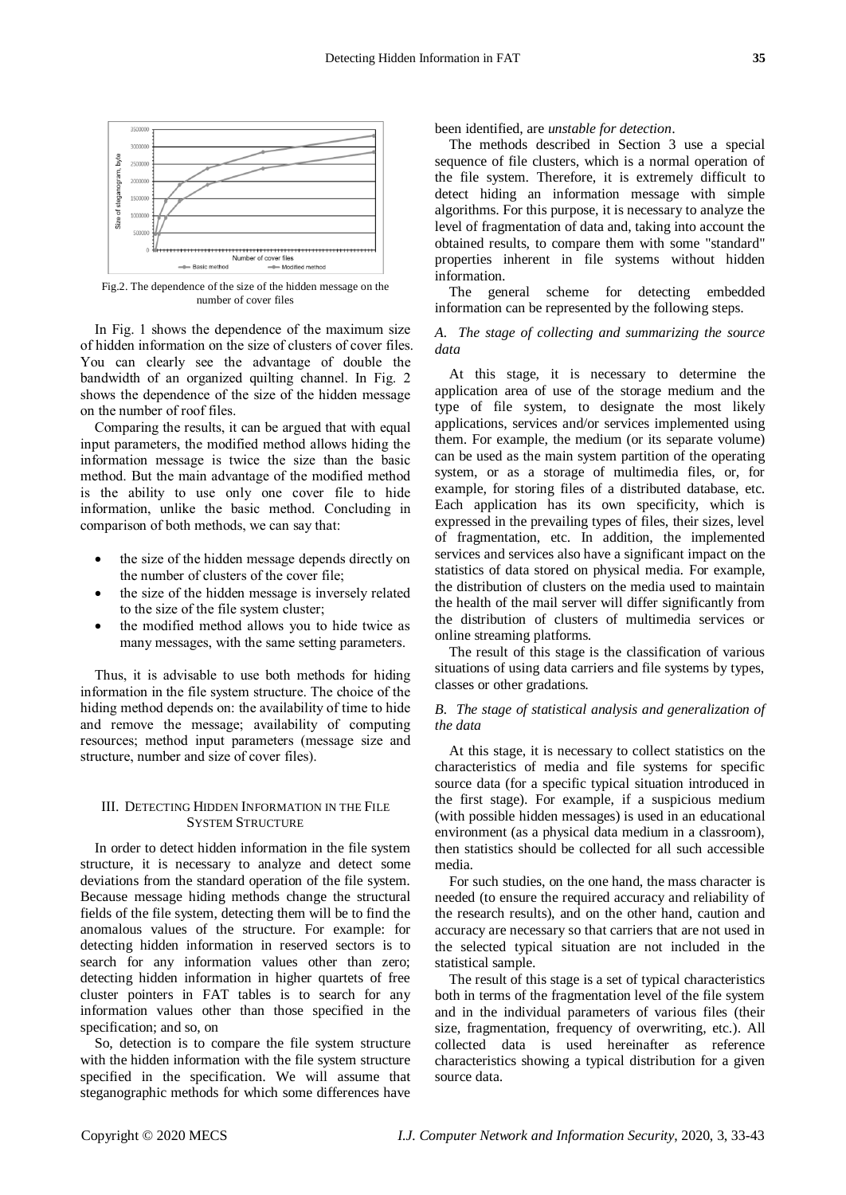

Fig.2. The dependence of the size of the hidden message on the number of cover files

In Fig. 1 shows the dependence of the maximum size of hidden information on the size of clusters of cover files. You can clearly see the advantage of double the bandwidth of an organized quilting channel. In Fig. 2 shows the dependence of the size of the hidden message on the number of roof files.

Comparing the results, it can be argued that with equal input parameters, the modified method allows hiding the information message is twice the size than the basic method. But the main advantage of the modified method is the ability to use only one cover file to hide information, unlike the basic method. Concluding in comparison of both methods, we can say that:

- the size of the hidden message depends directly on the number of clusters of the cover file;
- the size of the hidden message is inversely related to the size of the file system cluster;
- the modified method allows you to hide twice as many messages, with the same setting parameters.

Thus, it is advisable to use both methods for hiding information in the file system structure. The choice of the hiding method depends on: the availability of time to hide and remove the message; availability of computing resources; method input parameters (message size and structure, number and size of cover files).

## III. DETECTING HIDDEN INFORMATION IN THE FILE SYSTEM STRUCTURE

In order to detect hidden information in the file system structure, it is necessary to analyze and detect some deviations from the standard operation of the file system. Because message hiding methods change the structural fields of the file system, detecting them will be to find the anomalous values of the structure. For example: for detecting hidden information in reserved sectors is to search for any information values other than zero; detecting hidden information in higher quartets of free cluster pointers in FAT tables is to search for any information values other than those specified in the specification; and so, on

So, detection is to compare the file system structure with the hidden information with the file system structure specified in the specification. We will assume that steganographic methods for which some differences have

been identified, are *unstable for detection*.

The methods described in Section 3 use a special sequence of file clusters, which is a normal operation of the file system. Therefore, it is extremely difficult to detect hiding an information message with simple algorithms. For this purpose, it is necessary to analyze the level of fragmentation of data and, taking into account the obtained results, to compare them with some "standard" properties inherent in file systems without hidden information.

The general scheme for detecting embedded information can be represented by the following steps.

## *A. The stage of collecting and summarizing the source data*

At this stage, it is necessary to determine the application area of use of the storage medium and the type of file system, to designate the most likely applications, services and/or services implemented using them. For example, the medium (or its separate volume) can be used as the main system partition of the operating system, or as a storage of multimedia files, or, for example, for storing files of a distributed database, etc. Each application has its own specificity, which is expressed in the prevailing types of files, their sizes, level of fragmentation, etc. In addition, the implemented services and services also have a significant impact on the statistics of data stored on physical media. For example, the distribution of clusters on the media used to maintain the health of the mail server will differ significantly from the distribution of clusters of multimedia services or online streaming platforms.

The result of this stage is the classification of various situations of using data carriers and file systems by types, classes or other gradations.

## *B. The stage of statistical analysis and generalization of the data*

At this stage, it is necessary to collect statistics on the characteristics of media and file systems for specific source data (for a specific typical situation introduced in the first stage). For example, if a suspicious medium (with possible hidden messages) is used in an educational environment (as a physical data medium in a classroom), then statistics should be collected for all such accessible media.

For such studies, on the one hand, the mass character is needed (to ensure the required accuracy and reliability of the research results), and on the other hand, caution and accuracy are necessary so that carriers that are not used in the selected typical situation are not included in the statistical sample.

The result of this stage is a set of typical characteristics both in terms of the fragmentation level of the file system and in the individual parameters of various files (their size, fragmentation, frequency of overwriting, etc.). All collected data is used hereinafter as reference characteristics showing a typical distribution for a given source data.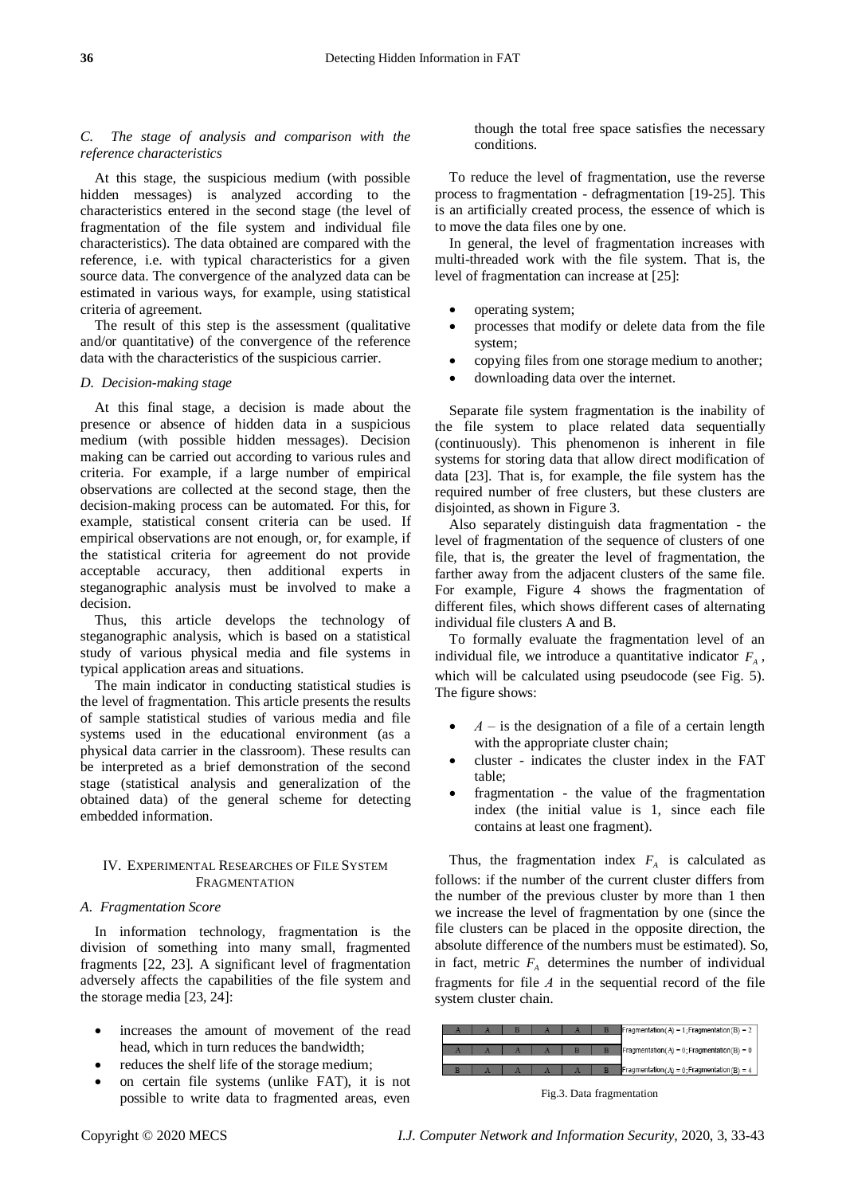# *C. The stage of analysis and comparison with the reference characteristics*

At this stage, the suspicious medium (with possible hidden messages) is analyzed according to the characteristics entered in the second stage (the level of fragmentation of the file system and individual file characteristics). The data obtained are compared with the reference, i.e. with typical characteristics for a given source data. The convergence of the analyzed data can be estimated in various ways, for example, using statistical criteria of agreement.

The result of this step is the assessment (qualitative and/or quantitative) of the convergence of the reference data with the characteristics of the suspicious carrier.

## *D. Decision-making stage*

At this final stage, a decision is made about the presence or absence of hidden data in a suspicious medium (with possible hidden messages). Decision making can be carried out according to various rules and criteria. For example, if a large number of empirical observations are collected at the second stage, then the decision-making process can be automated. For this, for example, statistical consent criteria can be used. If empirical observations are not enough, or, for example, if the statistical criteria for agreement do not provide acceptable accuracy, then additional experts in steganographic analysis must be involved to make a decision.

Thus, this article develops the technology of steganographic analysis, which is based on a statistical study of various physical media and file systems in typical application areas and situations.

The main indicator in conducting statistical studies is the level of fragmentation. This article presents the results of sample statistical studies of various media and file systems used in the educational environment (as a physical data carrier in the classroom). These results can be interpreted as a brief demonstration of the second stage (statistical analysis and generalization of the obtained data) of the general scheme for detecting embedded information.

# IV. EXPERIMENTAL RESEARCHES OF FILE SYSTEM FRAGMENTATION

### *A. Fragmentation Score*

In information technology, fragmentation is the division of something into many small, fragmented fragments [22, 23]. A significant level of fragmentation adversely affects the capabilities of the file system and the storage media [23, 24]:

- increases the amount of movement of the read head, which in turn reduces the bandwidth;
- reduces the shelf life of the storage medium;
- on certain file systems (unlike FAT), it is not possible to write data to fragmented areas, even

though the total free space satisfies the necessary conditions.

To reduce the level of fragmentation, use the reverse process to fragmentation - defragmentation [19-25]. This is an artificially created process, the essence of which is to move the data files one by one.

In general, the level of fragmentation increases with multi-threaded work with the file system. That is, the level of fragmentation can increase at [25]:

- operating system;
- processes that modify or delete data from the file system;
- copying files from one storage medium to another;
- downloading data over the internet.

Separate file system fragmentation is the inability of the file system to place related data sequentially (continuously). This phenomenon is inherent in file systems for storing data that allow direct modification of data [23]. That is, for example, the file system has the required number of free clusters, but these clusters are disjointed, as shown in Figure 3.

Also separately distinguish data fragmentation - the level of fragmentation of the sequence of clusters of one file, that is, the greater the level of fragmentation, the farther away from the adjacent clusters of the same file. For example, Figure 4 shows the fragmentation of different files, which shows different cases of alternating individual file clusters A and B.

To formally evaluate the fragmentation level of an individual file, we introduce a quantitative indicator  $F_A$ , which will be calculated using pseudocode (see Fig. 5). The figure shows:

- *А* is the designation of a file of a certain length with the appropriate cluster chain;
- cluster indicates the cluster index in the FAT table;
- fragmentation the value of the fragmentation index (the initial value is 1, since each file contains at least one fragment).

Thus, the fragmentation index  $F_A$  is calculated as follows: if the number of the current cluster differs from the number of the previous cluster by more than 1 then we increase the level of fragmentation by one (since the file clusters can be placed in the opposite direction, the absolute difference of the numbers must be estimated). So, in fact, metric  $F_A$  determines the number of individual fragments for file *А* in the sequential record of the file system cluster chain.



Fig.3. Data fragmentation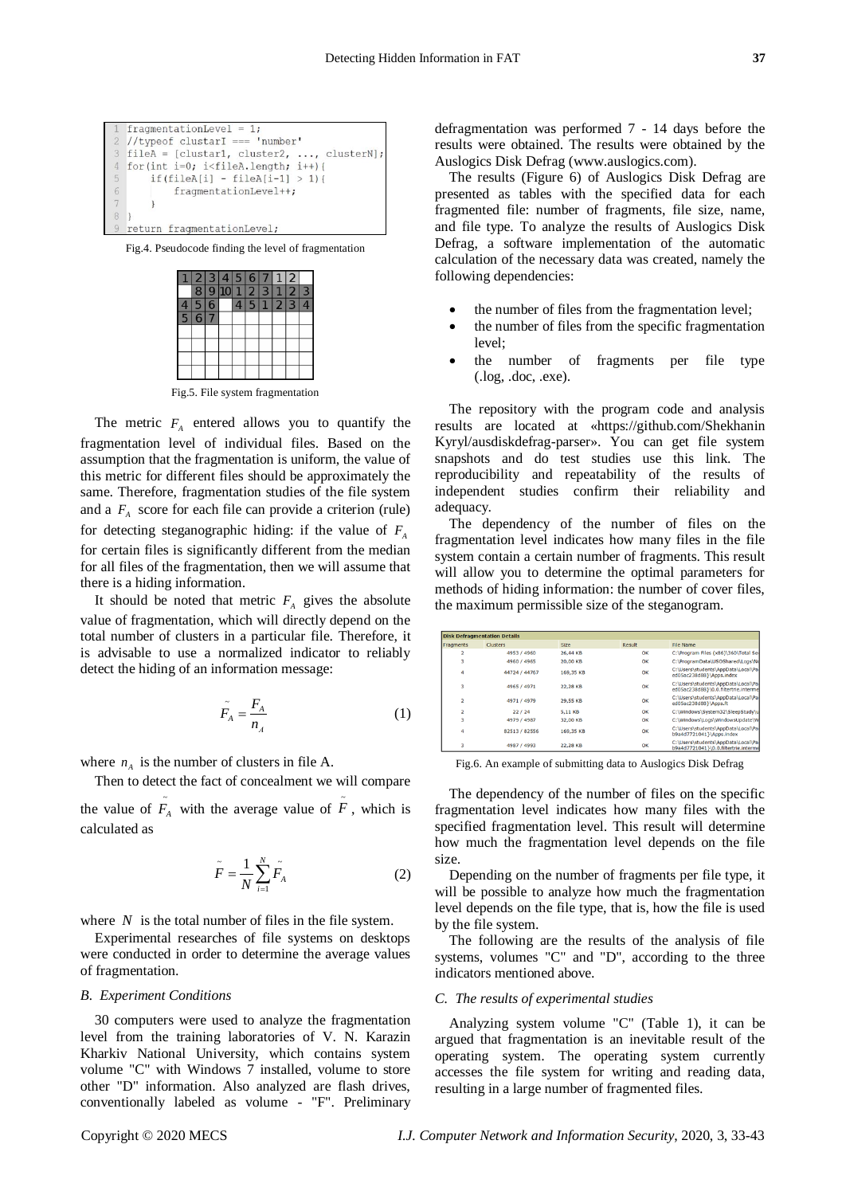Fig.4. Pseudocode finding the level of fragmentation



Fig.5. File system fragmentation

The metric  $F_A$  entered allows you to quantify the fragmentation level of individual files. Based on the assumption that the fragmentation is uniform, the value of this metric for different files should be approximately the same. Therefore, fragmentation studies of the file system and a  $F_A$  score for each file can provide a criterion (rule) for detecting steganographic hiding: if the value of *FA* for certain files is significantly different from the median for all files of the fragmentation, then we will assume that there is a hiding information.

It should be noted that metric  $F_A$  gives the absolute value of fragmentation, which will directly depend on the total number of clusters in a particular file. Therefore, it is advisable to use a normalized indicator to reliably detect the hiding of an information message:

$$
\tilde{F}_A = \frac{F_A}{n_A} \tag{1}
$$

where  $n_A$  is the number of clusters in file A.

Then to detect the fact of concealment we will compare the value of  $\tilde{F}_A$  with the average value of  $\tilde{F}$ , which is calculated as

$$
\tilde{F} = \frac{1}{N} \sum_{i=1}^{N} \tilde{F}_A
$$
 (2)

where  $N$  is the total number of files in the file system.

Experimental researches of file systems on desktops were conducted in order to determine the average values of fragmentation.

#### *B. Experiment Conditions*

30 computers were used to analyze the fragmentation level from the training laboratories of V. N. Karazin Kharkiv National University, which contains system volume "C" with Windows 7 installed, volume to store other "D" information. Also analyzed are flash drives, conventionally labeled as volume - "F". Preliminary defragmentation was performed 7 - 14 days before the results were obtained. The results were obtained by the Auslogics Disk Defrag (www.auslogics.com).

The results (Figure 6) of Auslogics Disk Defrag are presented as tables with the specified data for each fragmented file: number of fragments, file size, name, and file type. To analyze the results of Auslogics Disk Defrag, a software implementation of the automatic calculation of the necessary data was created, namely the following dependencies:

- the number of files from the fragmentation level;
- the number of files from the specific fragmentation level;
- the number of fragments per file type (.log, .doc, .exe).

The repository with the program code and analysis results are located at «https://github.com/Shekhanin Kyryl/ausdiskdefrag-parser». You can get file system snapshots and do test studies use this link. The reproducibility and repeatability of the results of independent studies confirm their reliability and adequacy.

The dependency of the number of files on the fragmentation level indicates how many files in the file system contain a certain number of fragments. This result will allow you to determine the optimal parameters for methods of hiding information: the number of cover files, the maximum permissible size of the steganogram.

|                         | <b>Disk Defragmentation Details</b> |             |        |                                                                             |
|-------------------------|-------------------------------------|-------------|--------|-----------------------------------------------------------------------------|
| Fragments               | <b>Clusters</b>                     | <b>Size</b> | Result | File Name                                                                   |
| $\overline{\mathbf{2}}$ | 4953 / 4960                         | 26.44 KB    | OK     | C:\Program Files (x86)\360\Total Sei                                        |
|                         | 4960 / 4965                         | 20.00 KB    | OK     | C:\ProgramData\USOShared\Logs\No                                            |
| 4                       | 44724 / 44767                       | 169.35 KB   | OK     | C:\Users\students\AppData\Local\Pa<br>ed05ac238d88}\Apps.index              |
|                         | 4965 / 4971                         | 22.28 KB    | OK     | C:\Users\students\AppData\Local\Pal<br>ed05ac238d88}\0.0.filtertrie.interme |
|                         | 4971 / 4979                         | 29.55 KB    | OK     | C:\Users\students\AppData\Local\Pal<br>ed05ac238d88}\Apps.ft                |
| $\overline{ }$          | 22/24                               | 5.11 KB     | OK     | C:\Windows\System32\SleepStudy\u                                            |
|                         | 4979 / 4987                         | 32,00 KB    | OK     | C:\Windows\Logs\WindowsUpdate\W                                             |
| 4                       | 82513 / 82556                       | 169.35 KB   | OK     | C:\Users\students\AppData\Local\Pa<br>b9a4d7721041}\Apps.index              |
| 3                       | 4987 / 4993                         | 22.28 KB    | OK     | C:\Users\students\AppData\Local\Pal<br>b9a4d7721041}\0.0.filtertrie.interme |

Fig.6. An example of submitting data to Auslogics Disk Defrag

The dependency of the number of files on the specific fragmentation level indicates how many files with the specified fragmentation level. This result will determine how much the fragmentation level depends on the file size.

Depending on the number of fragments per file type, it will be possible to analyze how much the fragmentation level depends on the file type, that is, how the file is used by the file system.

The following are the results of the analysis of file systems, volumes "C" and "D", according to the three indicators mentioned above.

### *C. The results of experimental studies*

Analyzing system volume "C" (Table 1), it can be argued that fragmentation is an inevitable result of the operating system. The operating system currently accesses the file system for writing and reading data, resulting in a large number of fragmented files.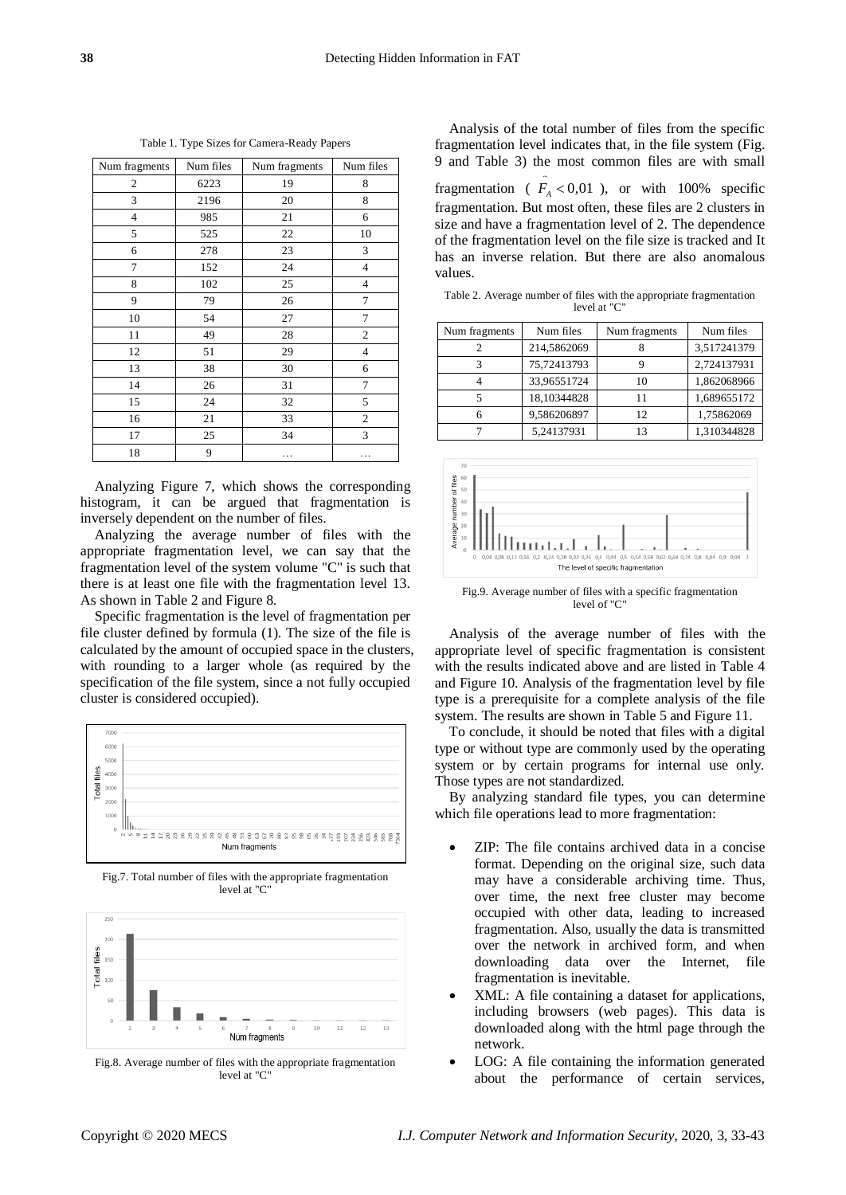Table 1. Type Sizes for Camera-Ready Papers

| Num fragments  | Num files | Num fragments | Num files      |
|----------------|-----------|---------------|----------------|
| 2              | 6223      | 19            | 8              |
| 3              | 2196      | 20            | 8              |
| $\overline{4}$ | 985       | 21            | 6              |
| 5              | 525       | 22            | 10             |
| 6              | 278       | 23            | 3              |
| 7              | 152       | 24            | $\overline{4}$ |
| 8              | 102       | 25            | $\overline{4}$ |
| 9              | 79        | 26            | 7              |
| 10             | 54        | 27            | 7              |
| 11             | 49        | 28            | $\overline{c}$ |
| 12             | 51        | 29            | $\overline{4}$ |
| 13             | 38        | 30            | 6              |
| 14             | 26        | 31            | 7              |
| 15             | 24        | 32            | 5              |
| 16             | 21        | 33            | $\mathfrak{2}$ |
| 17             | 25        | 34            | 3              |
| 18             | 9         | .             | .              |

Analyzing Figure 7, which shows the corresponding histogram, it can be argued that fragmentation is inversely dependent on the number of files.

Analyzing the average number of files with the appropriate fragmentation level, we can say that the fragmentation level of the system volume "C" is such that there is at least one file with the fragmentation level 13. As shown in Table 2 and Figure 8.

Specific fragmentation is the level of fragmentation per file cluster defined by formula (1). The size of the file is calculated by the amount of occupied space in the clusters, with rounding to a larger whole (as required by the specification of the file system, since a not fully occupied cluster is considered occupied).



Fig.7. Total number of files with the appropriate fragmentation level at "C"



Fig.8. Average number of files with the appropriate fragmentation level at "C"

Analysis of the total number of files from the specific fragmentation level indicates that, in the file system (Fig. 9 and Table 3) the most common files are with small fragmentation ( $\tilde{F}_A < 0.01$ ), or with 100% specific fragmentation. But most often, these files are 2 clusters in size and have a fragmentation level of 2. The dependence of the fragmentation level on the file size is tracked and It has an inverse relation. But there are also anomalous values.

Table 2. Average number of files with the appropriate fragmentation level at "C"

| Num fragments | Num files   | Num fragments | Num files   |
|---------------|-------------|---------------|-------------|
|               | 214,5862069 |               | 3,517241379 |
| 3             | 75,72413793 |               | 2,724137931 |
|               | 33,96551724 | 10            | 1,862068966 |
|               | 18,10344828 | 11            | 1,689655172 |
|               | 9,586206897 | 12            | 1,75862069  |
|               | 5,24137931  | 13            | 1,310344828 |
|               |             |               |             |



Fig.9. Average number of files with a specific fragmentation level of "C"

Analysis of the average number of files with the appropriate level of specific fragmentation is consistent with the results indicated above and are listed in Table 4 and Figure 10. Analysis of the fragmentation level by file type is a prerequisite for a complete analysis of the file system. The results are shown in Table 5 and Figure 11.

To conclude, it should be noted that files with a digital type or without type are commonly used by the operating system or by certain programs for internal use only. Those types are not standardized.

By analyzing standard file types, you can determine which file operations lead to more fragmentation:

- ZIP: The file contains archived data in a concise format. Depending on the original size, such data may have a considerable archiving time. Thus, over time, the next free cluster may become occupied with other data, leading to increased fragmentation. Also, usually the data is transmitted over the network in archived form, and when downloading data over the Internet, file fragmentation is inevitable.
- XML: A file containing a dataset for applications, including browsers (web pages). This data is downloaded along with the html page through the network.
- LOG: A file containing the information generated about the performance of certain services,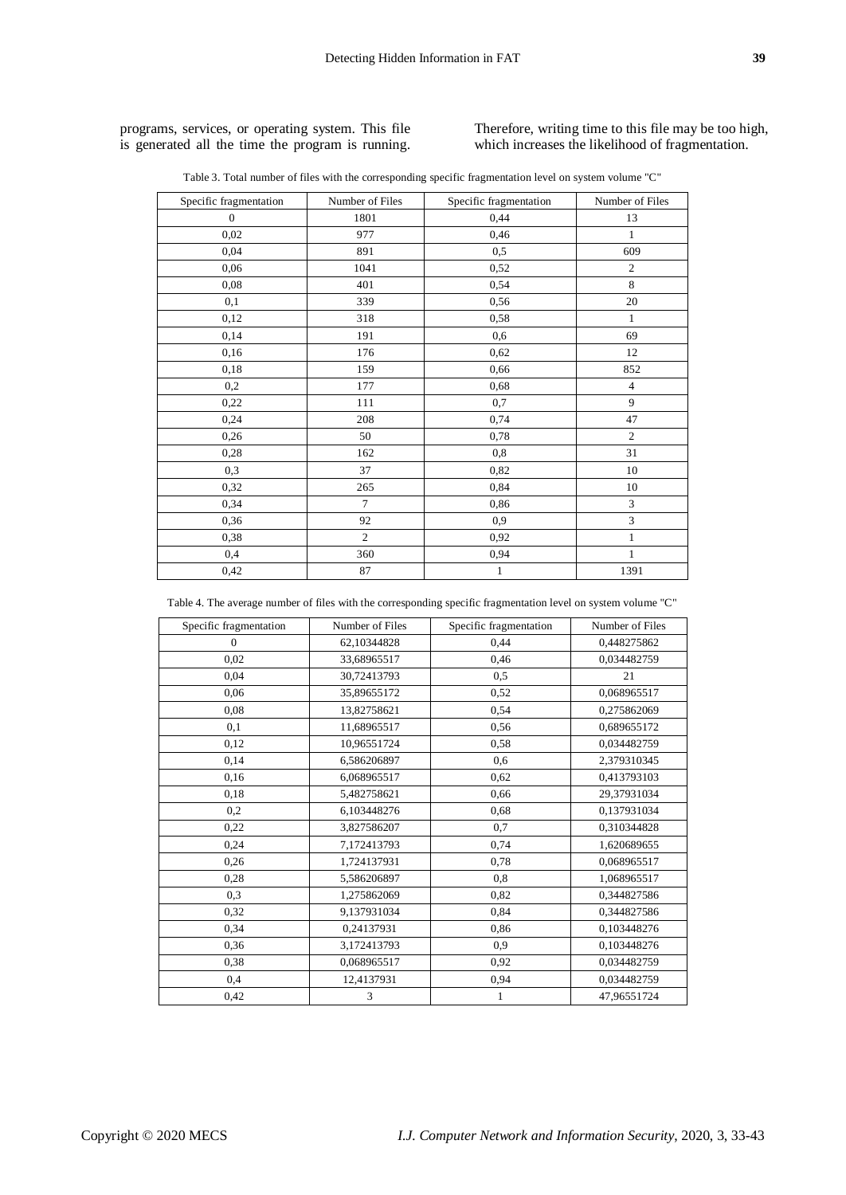programs, services, or operating system. This file is generated all the time the program is running. Therefore, writing time to this file may be too high, which increases the likelihood of fragmentation.

| Table 3. Total number of files with the corresponding specific fragmentation level on system volume "C" |  |  |
|---------------------------------------------------------------------------------------------------------|--|--|
|                                                                                                         |  |  |

| Specific fragmentation | Number of Files | Specific fragmentation | Number of Files |
|------------------------|-----------------|------------------------|-----------------|
| $\boldsymbol{0}$       | 1801            | 0,44                   | 13              |
| 0,02                   | 977             | 0,46                   | $\mathbf{1}$    |
| 0,04                   | 891             | 0,5                    | 609             |
| 0,06                   | 1041            | 0,52                   | $\overline{c}$  |
| 0,08                   | 401             | 0,54                   | 8               |
| 0,1                    | 339             | 0,56                   | 20              |
| 0,12                   | 318             | 0,58                   | $\mathbf{1}$    |
| 0,14                   | 191             | 0,6                    | 69              |
| 0,16                   | 176             | 0,62                   | 12              |
| 0,18                   | 159             | 0,66                   | 852             |
| 0,2                    | 177             | 0,68                   | $\overline{4}$  |
| 0,22                   | 111             | 0,7                    | 9               |
| 0,24                   | 208             | 0,74                   | 47              |
| 0,26                   | 50              | 0,78                   | $\overline{c}$  |
| 0,28                   | 162             | 0,8                    | 31              |
| 0,3                    | 37              | 0,82                   | 10              |
| 0,32                   | 265             | 0,84                   | 10              |
| 0,34                   | 7               | 0,86                   | 3               |
| 0,36                   | 92              | 0,9                    | 3               |
| 0,38                   | $\overline{2}$  | 0,92                   | $\mathbf{1}$    |
| 0,4                    | 360             | 0,94                   | $\mathbf{1}$    |
| 0,42                   | 87              | $\mathbf{1}$           | 1391            |

Table 4. The average number of files with the corresponding specific fragmentation level on system volume "C"

| Specific fragmentation | Number of Files | Specific fragmentation | Number of Files |
|------------------------|-----------------|------------------------|-----------------|
| $\Omega$               | 62,10344828     | 0.44                   | 0,448275862     |
| 0,02                   | 33,68965517     | 0,46                   | 0,034482759     |
| 0,04                   | 30,72413793     | 0,5                    | 21              |
| 0,06                   | 35,89655172     | 0,52                   | 0,068965517     |
| 0,08                   | 13,82758621     | 0,54                   | 0,275862069     |
| 0,1                    | 11,68965517     | 0,56                   | 0,689655172     |
| 0,12                   | 10,96551724     | 0,58                   | 0,034482759     |
| 0,14                   | 6,586206897     | 0,6                    | 2,379310345     |
| 0,16                   | 6,068965517     | 0.62                   | 0,413793103     |
| 0.18                   | 5,482758621     | 0,66                   | 29,37931034     |
| 0,2                    | 6.103448276     | 0,68                   | 0,137931034     |
| 0,22                   | 3,827586207     | 0,7                    | 0,310344828     |
| 0,24                   | 7,172413793     | 0,74                   | 1,620689655     |
| 0,26                   | 1,724137931     | 0.78                   | 0,068965517     |
| 0,28                   | 5,586206897     | 0,8                    | 1,068965517     |
| 0,3                    | 1,275862069     | 0,82                   | 0,344827586     |
| 0,32                   | 9,137931034     | 0.84                   | 0,344827586     |
| 0,34                   | 0,24137931      | 0,86                   | 0,103448276     |
| 0,36                   | 3,172413793     | 0,9                    | 0.103448276     |
| 0,38                   | 0,068965517     | 0.92                   | 0,034482759     |
| 0,4                    | 12,4137931      | 0,94                   | 0,034482759     |
| 0,42                   | 3               | 1                      | 47,96551724     |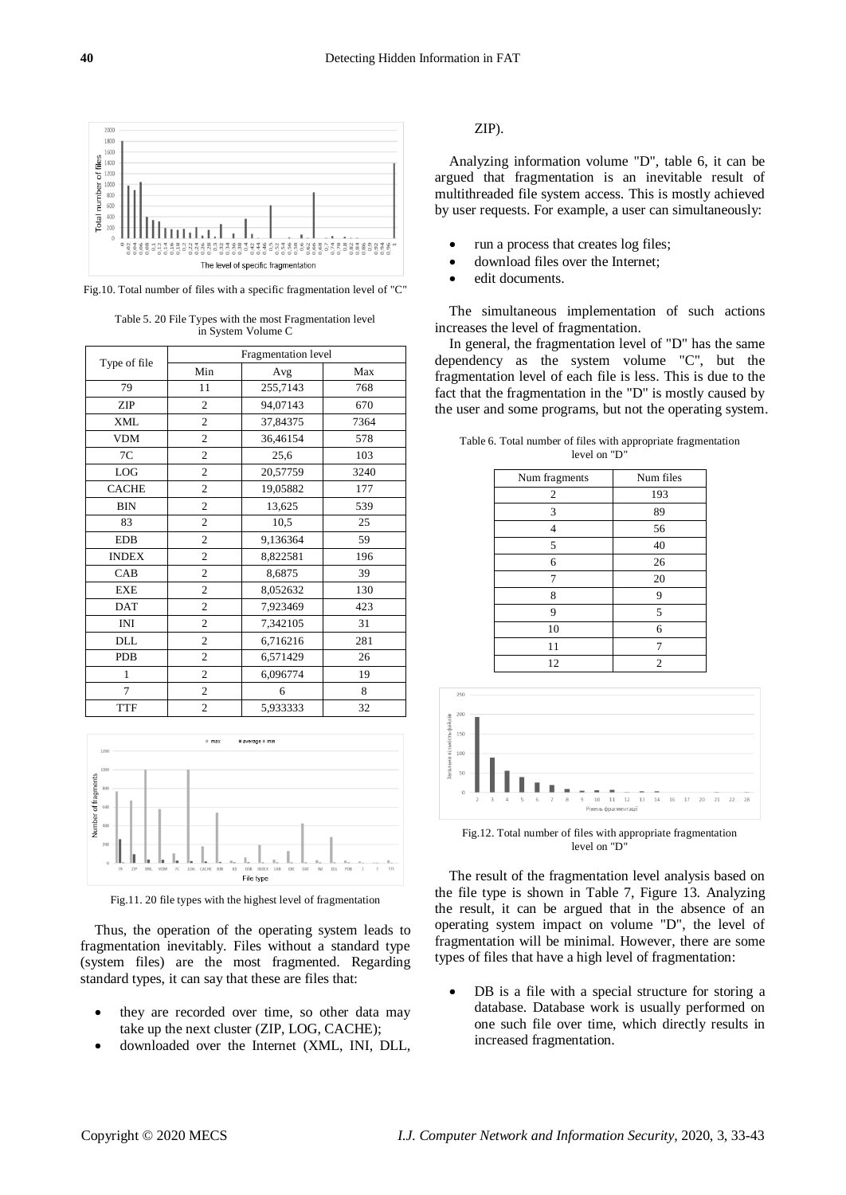

Fig.10. Total number of files with a specific fragmentation level of "C"

Table 5. 20 File Types with the most Fragmentation level in System Volume C

|                | Fragmentation level |          |      |  |  |
|----------------|---------------------|----------|------|--|--|
| Type of file   | Min                 | Avg      | Max  |  |  |
| 79             | 11                  | 255,7143 | 768  |  |  |
| ZIP            | $\overline{c}$      | 94,07143 | 670  |  |  |
| XML            | $\overline{c}$      | 37,84375 | 7364 |  |  |
| <b>VDM</b>     | $\mathfrak{2}$      | 36,46154 | 578  |  |  |
| 7C             | $\mathfrak{2}$      | 25,6     | 103  |  |  |
| LOG            | 2                   | 20,57759 | 3240 |  |  |
| <b>CACHE</b>   | $\overline{c}$      | 19,05882 | 177  |  |  |
| <b>BIN</b>     | $\overline{c}$      | 13,625   | 539  |  |  |
| 83             | $\overline{c}$      | 10,5     | 25   |  |  |
| <b>EDB</b>     | $\overline{c}$      | 9,136364 | 59   |  |  |
| <b>INDEX</b>   | $\overline{c}$      | 8,822581 | 196  |  |  |
| CAB            | $\overline{c}$      | 8,6875   | 39   |  |  |
| <b>EXE</b>     | $\overline{c}$      | 8,052632 | 130  |  |  |
| <b>DAT</b>     | $\overline{c}$      | 7,923469 | 423  |  |  |
| INI            | $\overline{c}$      | 7,342105 | 31   |  |  |
| DLL            | $\overline{c}$      | 6,716216 | 281  |  |  |
| <b>PDB</b>     | $\overline{c}$      | 6,571429 | 26   |  |  |
| 1              | $\overline{c}$      | 6,096774 | 19   |  |  |
| $\overline{7}$ | $\overline{c}$      | 6        | 8    |  |  |
| <b>TTF</b>     | $\overline{c}$      | 5,933333 | 32   |  |  |



Fig.11. 20 file types with the highest level of fragmentation

Thus, the operation of the operating system leads to fragmentation inevitably. Files without a standard type (system files) are the most fragmented. Regarding standard types, it can say that these are files that:

- they are recorded over time, so other data may take up the next cluster (ZIP, LOG, CACHE);
- downloaded over the Internet (XML, INI, DLL,

# ZIP).

Analyzing information volume "D", table 6, it can be argued that fragmentation is an inevitable result of multithreaded file system access. This is mostly achieved by user requests. For example, a user can simultaneously:

- run a process that creates log files;
- download files over the Internet;
- edit documents.

The simultaneous implementation of such actions increases the level of fragmentation.

In general, the fragmentation level of "D" has the same dependency as the system volume "C", but the fragmentation level of each file is less. This is due to the fact that the fragmentation in the "D" is mostly caused by the user and some programs, but not the operating system.

Table 6. Total number of files with appropriate fragmentation level on "D"

| Num fragments  | Num files      |
|----------------|----------------|
| $\mathfrak{2}$ | 193            |
| 3              | 89             |
| 4              | 56             |
| 5              | 40             |
| 6              | 26             |
| 7              | 20             |
| 8              | 9              |
| 9              | 5              |
| 10             | 6              |
| 11             | 7              |
| 12             | $\overline{2}$ |



Fig.12. Total number of files with appropriate fragmentation level on "D"

The result of the fragmentation level analysis based on the file type is shown in Table 7, Figure 13. Analyzing the result, it can be argued that in the absence of an operating system impact on volume "D", the level of fragmentation will be minimal. However, there are some types of files that have a high level of fragmentation:

DB is a file with a special structure for storing a database. Database work is usually performed on one such file over time, which directly results in increased fragmentation.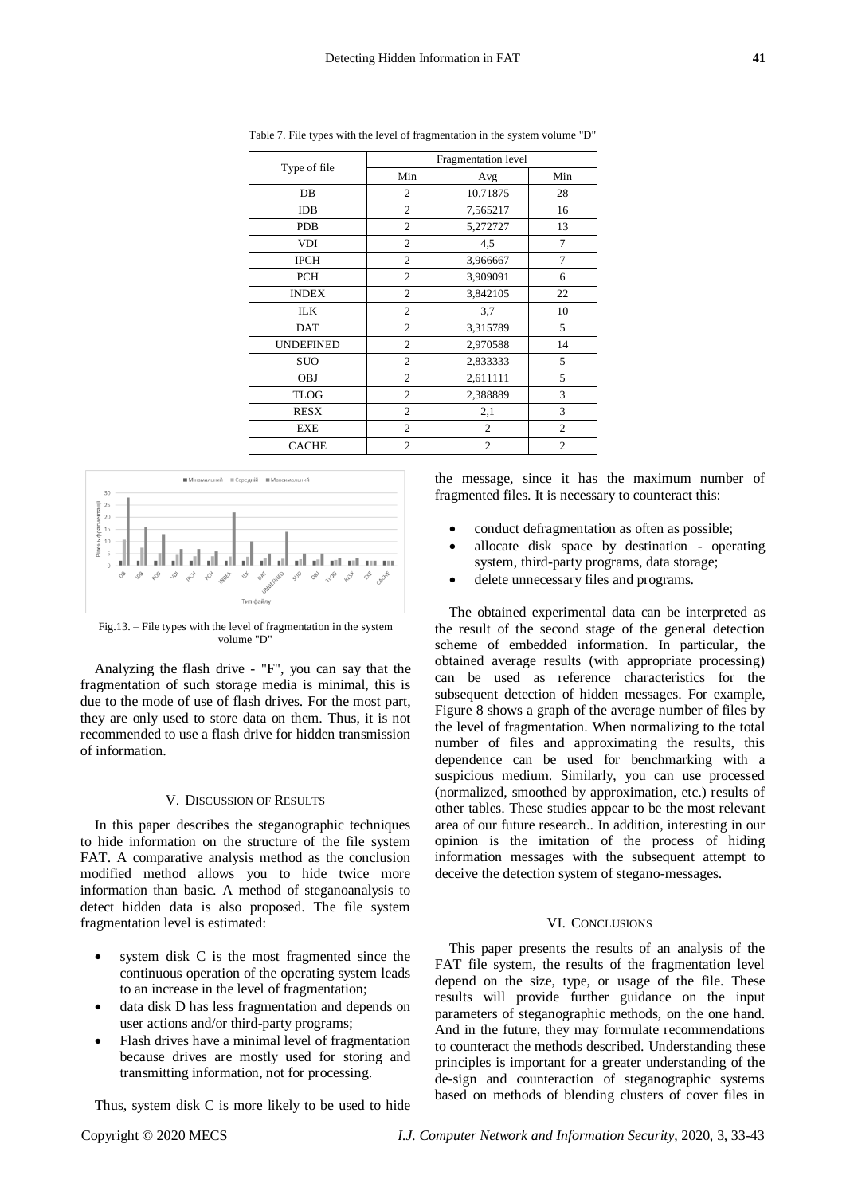|                  | Fragmentation level |                |                |  |
|------------------|---------------------|----------------|----------------|--|
| Type of file     | Min                 | Avg            | Min            |  |
| DB               | 2                   | 10,71875       | 28             |  |
| <b>IDB</b>       | $\mathfrak{2}$      | 7,565217       | 16             |  |
| <b>PDB</b>       | 2                   | 5,272727       | 13             |  |
| <b>VDI</b>       | 2                   | 4,5            | 7              |  |
| <b>IPCH</b>      | $\mathfrak{2}$      | 3,966667       | 7              |  |
| <b>PCH</b>       | $\overline{c}$      | 3,909091       | 6              |  |
| <b>INDEX</b>     | 2                   | 3,842105       | 22             |  |
| <b>ILK</b>       | 2                   | 3,7            | 10             |  |
| DAT              | 2                   | 3,315789       | 5              |  |
| <b>UNDEFINED</b> | 2                   | 2,970588       | 14             |  |
| <b>SUO</b>       | $\overline{c}$      | 2,833333       | 5              |  |
| <b>OBJ</b>       | 2                   | 2,611111       | 5              |  |
| <b>TLOG</b>      | 2                   | 2,388889       | 3              |  |
| <b>RESX</b>      | $\overline{2}$      | 2,1            | 3              |  |
| EXE              | $\overline{c}$      | 2              | $\overline{2}$ |  |
| <b>CACHE</b>     | $\overline{2}$      | $\overline{2}$ | $\overline{c}$ |  |

Table 7. File types with the level of fragmentation in the system volume "D"



Fig.13. – File types with the level of fragmentation in the system volume "D"

Analyzing the flash drive - "F", you can say that the fragmentation of such storage media is minimal, this is due to the mode of use of flash drives. For the most part, they are only used to store data on them. Thus, it is not recommended to use a flash drive for hidden transmission of information.

#### V. DISCUSSION OF RESULTS

In this paper describes the steganographic techniques to hide information on the structure of the file system FAT. A comparative analysis method as the conclusion modified method allows you to hide twice more information than basic. A method of steganoanalysis to detect hidden data is also proposed. The file system fragmentation level is estimated:

- system disk C is the most fragmented since the continuous operation of the operating system leads to an increase in the level of fragmentation;
- data disk D has less fragmentation and depends on user actions and/or third-party programs;
- Flash drives have a minimal level of fragmentation because drives are mostly used for storing and transmitting information, not for processing.

Thus, system disk C is more likely to be used to hide

Copyright © 2020 MECS *I.J. Computer Network and Information Security*, 2020, 3, 33-43

the message, since it has the maximum number of fragmented files. It is necessary to counteract this:

- conduct defragmentation as often as possible;
- allocate disk space by destination operating system, third-party programs, data storage;
- delete unnecessary files and programs.

The obtained experimental data can be interpreted as the result of the second stage of the general detection scheme of embedded information. In particular, the obtained average results (with appropriate processing) can be used as reference characteristics for the subsequent detection of hidden messages. For example, Figure 8 shows a graph of the average number of files by the level of fragmentation. When normalizing to the total number of files and approximating the results, this dependence can be used for benchmarking with a suspicious medium. Similarly, you can use processed (normalized, smoothed by approximation, etc.) results of other tables. These studies appear to be the most relevant area of our future research.. In addition, interesting in our opinion is the imitation of the process of hiding information messages with the subsequent attempt to deceive the detection system of stegano-messages.

## VI. CONCLUSIONS

This paper presents the results of an analysis of the FAT file system, the results of the fragmentation level depend on the size, type, or usage of the file. These results will provide further guidance on the input parameters of steganographic methods, on the one hand. And in the future, they may formulate recommendations to counteract the methods described. Understanding these principles is important for a greater understanding of the de-sign and counteraction of steganographic systems based on methods of blending clusters of cover files in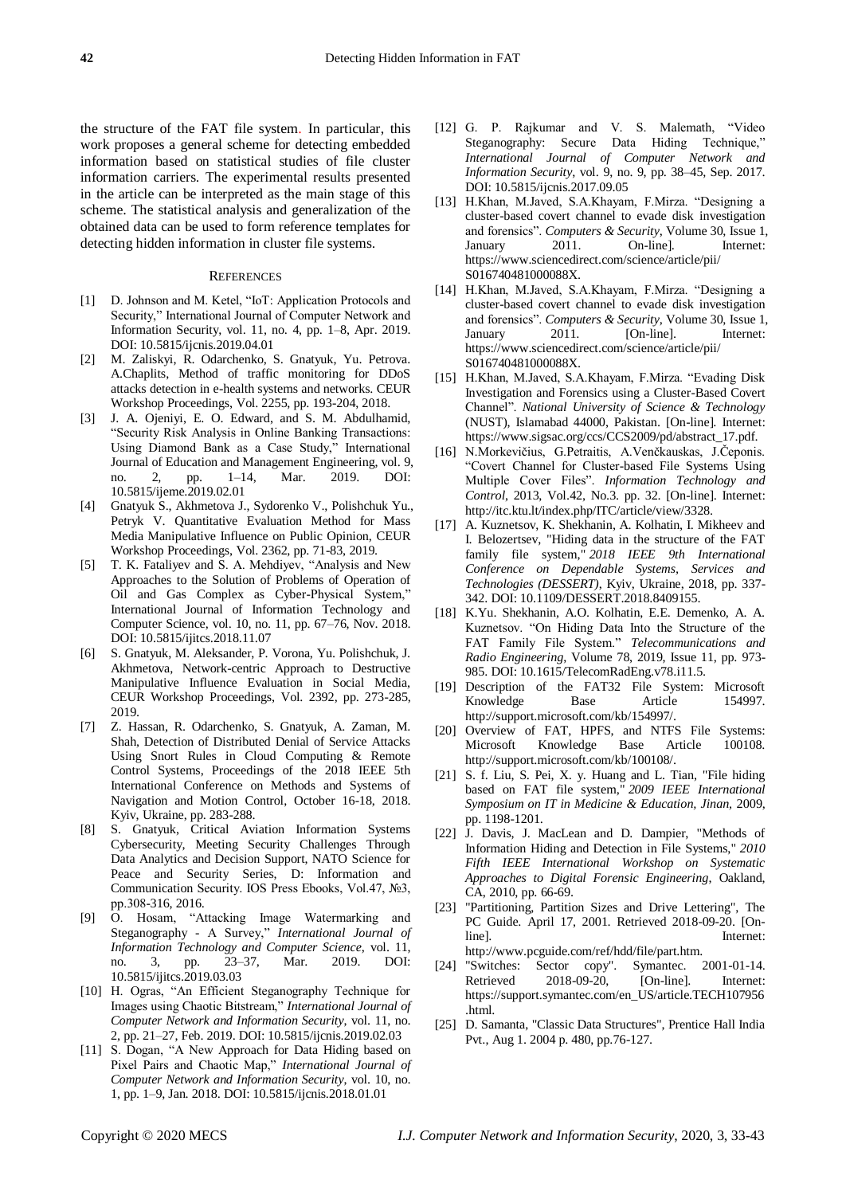the structure of the FAT file system. In particular, this work proposes a general scheme for detecting embedded information based on statistical studies of file cluster information carriers. The experimental results presented in the article can be interpreted as the main stage of this scheme. The statistical analysis and generalization of the obtained data can be used to form reference templates for detecting hidden information in cluster file systems.

#### **REFERENCES**

- [1] D. Johnson and M. Ketel, "IoT: Application Protocols and Security," International Journal of Computer Network and Information Security, vol. 11, no. 4, pp. 1–8, Apr. 2019. DOI: 10.5815/ijcnis.2019.04.01
- [2] M. Zaliskyi, R. Odarchenko, S. Gnatyuk, Yu. Petrova. A.Chaplits, Method of traffic monitoring for DDoS attacks detection in e-health systems and networks. CEUR Workshop Proceedings, Vol. 2255, pp. 193-204, 2018.
- [3] J. A. Ojeniyi, E. O. Edward, and S. M. Abdulhamid, "Security Risk Analysis in Online Banking Transactions: Using Diamond Bank as a Case Study," International Journal of Education and Management Engineering, vol. 9, no. 2, pp. 1–14, Mar. 2019. DOI: 10.5815/ijeme.2019.02.01
- [4] Gnatyuk S., Akhmetova J., Sydorenko V., Polishchuk Yu., Petryk V. Quantitative Evaluation Method for Mass Media Manipulative Influence on Public Opinion, CEUR Workshop Proceedings, Vol. 2362, pp. 71-83, 2019.
- [5] T. K. Fataliyev and S. A. Mehdiyev, "Analysis and New Approaches to the Solution of Problems of Operation of Oil and Gas Complex as Cyber-Physical System," International Journal of Information Technology and Computer Science, vol. 10, no. 11, pp. 67–76, Nov. 2018. DOI: 10.5815/ijitcs.2018.11.07
- [6] S. Gnatyuk, M. Aleksander, P. Vorona, Yu. Polishchuk, J. Akhmetova, Network-centric Approach to Destructive Manipulative Influence Evaluation in Social Media, CEUR Workshop Proceedings, Vol. 2392, pp. 273-285, 2019.
- [7] Z. Hassan, R. Odarchenko, S. Gnatyuk, A. Zaman, M. Shah, Detection of Distributed Denial of Service Attacks Using Snort Rules in Cloud Computing & Remote Control Systems, Proceedings of the 2018 IEEE 5th International Conference on Methods and Systems of Navigation and Motion Control, October 16-18, 2018. Kyiv, Ukraine, pp. 283-288.
- [8] S. Gnatyuk, Critical Aviation Information Systems Cybersecurity, Meeting Security Challenges Through Data Analytics and Decision Support, NATO Science for Peace and Security Series, D: Information and Communication Security. IOS Press Ebooks, Vol.47, №3, рр.308-316, 2016.
- [9] O. Hosam, "Attacking Image Watermarking and Steganography - A Survey," *International Journal of Information Technology and Computer Science*, vol. 11, no. 3, pp. 23–37, Mar. 2019. DOI: 10.5815/ijitcs.2019.03.03
- [10] H. Ogras, "An Efficient Steganography Technique for Images using Chaotic Bitstream," *International Journal of Computer Network and Information Security*, vol. 11, no. 2, pp. 21–27, Feb. 2019. DOI: 10.5815/ijcnis.2019.02.03
- [11] S. Dogan, "A New Approach for Data Hiding based on Pixel Pairs and Chaotic Map," *International Journal of Computer Network and Information Security*, vol. 10, no. 1, pp. 1–9, Jan. 2018. DOI: 10.5815/ijcnis.2018.01.01
- [12] G. P. Rajkumar and V. S. Malemath, "Video Steganography: Secure Data Hiding Technique,' *International Journal of Computer Network and Information Security*, vol. 9, no. 9, pp. 38–45, Sep. 2017. DOI: 10.5815/ijcnis.2017.09.05
- [13] H.Khan, M.Javed, S.A.Khayam, F.Mirza. "Designing a cluster-based covert channel to evade disk investigation and forensics". *Computers & Security*, Volume 30, Issue 1, January 2011. On-line]. Internet: https://www.sciencedirect.com/science/article/pii/ S016740481000088X.
- [14] H.Khan, M.Javed, S.A.Khayam, F.Mirza. "Designing a cluster-based covert channel to evade disk investigation and forensics". *Computers & Security*, Volume 30, Issue 1, January 2011. [On-line]. Internet: https://www.sciencedirect.com/science/article/pii/ S016740481000088X.
- [15] H.Khan, M.Javed, S.A.Khayam, F.Mirza. "Evading Disk Investigation and Forensics using a Cluster-Based Covert Channel". *National University of Science & Technology* (NUST), Islamabad 44000, Pakistan. [On-line]. Internet: https://www.sigsac.org/ccs/CCS2009/pd/abstract\_17.pdf.
- [16] N.Morkevičius, G.Petraitis, A.Venčkauskas, J.Čeponis. "Covert Channel for Cluster-based File Systems Using Multiple Cover Files". *Information Technology and Control*, 2013, Vol.42, No.3. pp. 32. [On-line]. Internet: http://itc.ktu.lt/index.php/ITC/article/view/3328.
- [17] A. Kuznetsov, K. Shekhanin, A. Kolhatin, I. Mikheev and I. Belozertsev, "Hiding data in the structure of the FAT family file system," *2018 IEEE 9th International Conference on Dependable Systems, Services and Technologies (DESSERT)*, Kyiv, Ukraine, 2018, pp. 337- 342. DOI: 10.1109/DESSERT.2018.8409155.
- [18] K.Yu. Shekhanin, A.O. Kolhatin, E.E. Demenko, A. A. Kuznetsov. "On Hiding Data Into the Structure of the FAT Family File System." *[Telecommunications and](http://www.dl.begellhouse.com/journals/0632a9d54950b268.html)  [Radio Engineering](http://www.dl.begellhouse.com/journals/0632a9d54950b268.html)*, Volume 78, 2019, Issue 11, pp. 973- 985. DOI: 10.1615/TelecomRadEng.v78.i11.5.
- [19] Description of the FAT32 File System: Microsoft Knowledge Base Article 154997. http://support.microsoft.com/kb/154997/.
- [20] Overview of FAT, HPFS, and NTFS File Systems: Microsoft Knowledge Base Article 100108. http://support.microsoft.com/kb/100108/.
- [21] S. f. Liu, S. Pei, X. y. Huang and L. Tian, "File hiding based on FAT file system," *2009 IEEE International Symposium on IT in Medicine & Education, Jinan,* 2009, pp. 1198-1201.
- [22] J. Davis, J. MacLean and D. Dampier, "Methods of Information Hiding and Detection in File Systems," *2010 Fifth IEEE International Workshop on Systematic Approaches to Digital Forensic Engineering*, Oakland, CA, 2010, pp. 66-69.
- [23] "Partitioning, Partition Sizes and Drive Lettering", The PC Guide. April 17, 2001. Retrieved 2018-09-20. [Online]. Internet: http://www.pcguide.com/ref/hdd/file/part.htm.
- [24] "Switches: Sector copy". Symantec. 2001-01-14. Retrieved 2018-09-20, [On-line]. Internet: https://support.symantec.com/en\_US/article.TECH107956 .html.
- [25] D. Samanta, "Classic Data Structures", Prentice Hall India Pvt., Aug 1. 2004 p. 480, pp.76-127.